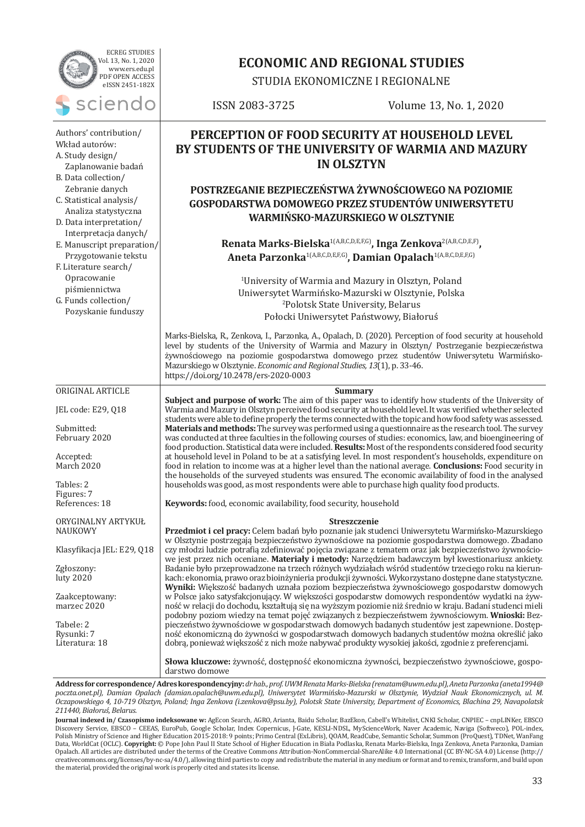| <b>ECREG STUDIES</b><br>Vol. 13, No. 1, 2020                                                                            | <b>ECONOMIC AND REGIONAL STUDIES</b>                                                                                                                                                                                                                                                                                                                                                                                           |                                                                                                                                                                                                                                                                                                                                                                                                                                                                                                                                                                                                                                                                        |  |  |  |
|-------------------------------------------------------------------------------------------------------------------------|--------------------------------------------------------------------------------------------------------------------------------------------------------------------------------------------------------------------------------------------------------------------------------------------------------------------------------------------------------------------------------------------------------------------------------|------------------------------------------------------------------------------------------------------------------------------------------------------------------------------------------------------------------------------------------------------------------------------------------------------------------------------------------------------------------------------------------------------------------------------------------------------------------------------------------------------------------------------------------------------------------------------------------------------------------------------------------------------------------------|--|--|--|
| www.ers.edu.pl<br>PDF OPEN ACCESS<br>eISSN 2451-182X                                                                    | STUDIA EKONOMICZNE I REGIONALNE                                                                                                                                                                                                                                                                                                                                                                                                |                                                                                                                                                                                                                                                                                                                                                                                                                                                                                                                                                                                                                                                                        |  |  |  |
| sciendo                                                                                                                 | ISSN 2083-3725                                                                                                                                                                                                                                                                                                                                                                                                                 | Volume 13, No. 1, 2020                                                                                                                                                                                                                                                                                                                                                                                                                                                                                                                                                                                                                                                 |  |  |  |
| Authors' contribution/<br>Wkład autorów:<br>A. Study design/<br>Zaplanowanie badań<br>B. Data collection/               | PERCEPTION OF FOOD SECURITY AT HOUSEHOLD LEVEL<br>BY STUDENTS OF THE UNIVERSITY OF WARMIA AND MAZURY<br><b>IN OLSZTYN</b>                                                                                                                                                                                                                                                                                                      |                                                                                                                                                                                                                                                                                                                                                                                                                                                                                                                                                                                                                                                                        |  |  |  |
| Zebranie danych<br>C. Statistical analysis/<br>Analiza statystyczna<br>D. Data interpretation/<br>Interpretacja danych/ |                                                                                                                                                                                                                                                                                                                                                                                                                                | POSTRZEGANIE BEZPIECZEŃSTWA ŻYWNOŚCIOWEGO NA POZIOMIE<br>GOSPODARSTWA DOMOWEGO PRZEZ STUDENTÓW UNIWERSYTETU<br>WARMIŃSKO-MAZURSKIEGO W OLSZTYNIE                                                                                                                                                                                                                                                                                                                                                                                                                                                                                                                       |  |  |  |
| E. Manuscript preparation/<br>Przygotowanie tekstu<br>F. Literature search/                                             |                                                                                                                                                                                                                                                                                                                                                                                                                                | Renata Marks-Bielska <sup>1(A,B,C,D,E,F,G)</sup> , Inga Zenkova <sup>2(A,B,C,D,E,F)</sup> ,<br>Aneta Parzonka <sup>1(A,B,C,D,E,F,G)</sup> , Damian Opalach <sup>1(A,B,C,D,E,F,G)</sup>                                                                                                                                                                                                                                                                                                                                                                                                                                                                                 |  |  |  |
| Opracowanie<br>piśmiennictwa<br>G. Funds collection/<br>Pozyskanie funduszy                                             |                                                                                                                                                                                                                                                                                                                                                                                                                                | <sup>1</sup> University of Warmia and Mazury in Olsztyn, Poland<br>Uniwersytet Warmińsko-Mazurski w Olsztynie, Polska<br><sup>2</sup> Polotsk State University, Belarus<br>Połocki Uniwersytet Państwowy, Białoruś                                                                                                                                                                                                                                                                                                                                                                                                                                                     |  |  |  |
|                                                                                                                         | Mazurskiego w Olsztynie. Economic and Regional Studies, 13(1), p. 33-46.<br>https://doi.org/10.2478/ers-2020-0003                                                                                                                                                                                                                                                                                                              | Marks-Bielska, R., Zenkova, I., Parzonka, A., Opalach, D. (2020). Perception of food security at household<br>level by students of the University of Warmia and Mazury in Olsztyn/ Postrzeganie bezpieczeństwa<br>żywnościowego na poziomie gospodarstwa domowego przez studentów Uniwersytetu Warmińsko-                                                                                                                                                                                                                                                                                                                                                              |  |  |  |
| ORIGINAL ARTICLE                                                                                                        |                                                                                                                                                                                                                                                                                                                                                                                                                                | <b>Summary</b>                                                                                                                                                                                                                                                                                                                                                                                                                                                                                                                                                                                                                                                         |  |  |  |
| JEL code: E29, Q18<br>Submitted:<br>February 2020                                                                       |                                                                                                                                                                                                                                                                                                                                                                                                                                | Subject and purpose of work: The aim of this paper was to identify how students of the University of<br>Warmia and Mazury in Olsztyn perceived food security at household level. It was verified whether selected<br>students were able to define properly the terms connected with the topic and how food safety was assessed.<br>Materials and methods: The survey was performed using a questionnaire as the research tool. The survey<br>was conducted at three faculties in the following courses of studies: economics, law, and bioengineering of<br>food production. Statistical data were included. Results: Most of the respondents considered food security |  |  |  |
| Accepted:<br>March 2020<br>Tables: 2                                                                                    | at household level in Poland to be at a satisfying level. In most respondent's households, expenditure on<br>food in relation to income was at a higher level than the national average. Conclusions: Food security in<br>the households of the surveyed students was ensured. The economic availability of food in the analysed<br>households was good, as most respondents were able to purchase high quality food products. |                                                                                                                                                                                                                                                                                                                                                                                                                                                                                                                                                                                                                                                                        |  |  |  |
| Figures: 7<br>References: 18                                                                                            | Keywords: food, economic availability, food security, household                                                                                                                                                                                                                                                                                                                                                                |                                                                                                                                                                                                                                                                                                                                                                                                                                                                                                                                                                                                                                                                        |  |  |  |
| ORYGINALNY ARTYKUŁ                                                                                                      |                                                                                                                                                                                                                                                                                                                                                                                                                                | Streszczenie                                                                                                                                                                                                                                                                                                                                                                                                                                                                                                                                                                                                                                                           |  |  |  |
| <b>NAUKOWY</b>                                                                                                          |                                                                                                                                                                                                                                                                                                                                                                                                                                | Przedmiot i cel pracy: Celem badań było poznanie jak studenci Uniwersytetu Warmińsko-Mazurskiego                                                                                                                                                                                                                                                                                                                                                                                                                                                                                                                                                                       |  |  |  |
| Klasyfikacja JEL: E29, Q18                                                                                              |                                                                                                                                                                                                                                                                                                                                                                                                                                | w Olsztynie postrzegają bezpieczeństwo żywnościowe na poziomie gospodarstwa domowego. Zbadano<br>czy młodzi ludzie potrafią zdefiniować pojęcia związane z tematem oraz jak bezpieczeństwo żywnościo-                                                                                                                                                                                                                                                                                                                                                                                                                                                                  |  |  |  |
| Zgłoszony:<br>luty 2020                                                                                                 |                                                                                                                                                                                                                                                                                                                                                                                                                                | we jest przez nich oceniane. Materiały i metody: Narzędziem badawczym był kwestionariusz ankiety.<br>Badanie było przeprowadzone na trzech różnych wydziałach wśród studentów trzeciego roku na kierun-<br>kach: ekonomia, prawo oraz bioinżynieria produkcji żywności. Wykorzystano dostępne dane statystyczne.<br>Wyniki: Większość badanych uznała poziom bezpieczeństwa żywnościowego gospodarstw domowych                                                                                                                                                                                                                                                         |  |  |  |
| Zaakceptowany:<br>marzec 2020                                                                                           |                                                                                                                                                                                                                                                                                                                                                                                                                                | w Polsce jako satysfakcjonujący. W większości gospodarstw domowych respondentów wydatki na żyw-<br>ność w relacji do dochodu, kształtują się na wyższym poziomie niż średnio w kraju. Badani studenci mieli<br>podobny poziom wiedzy na temat pojęć związanych z bezpieczeństwem żywnościowym. Wnioski: Bez-                                                                                                                                                                                                                                                                                                                                                           |  |  |  |
| Tabele: 2<br>Rysunki: 7                                                                                                 |                                                                                                                                                                                                                                                                                                                                                                                                                                | pieczeństwo żywnościowe w gospodarstwach domowych badanych studentów jest zapewnione. Dostęp-<br>ność ekonomiczną do żywności w gospodarstwach domowych badanych studentów można określić jako                                                                                                                                                                                                                                                                                                                                                                                                                                                                         |  |  |  |
| Literatura: 18                                                                                                          |                                                                                                                                                                                                                                                                                                                                                                                                                                | dobrą, ponieważ większość z nich może nabywać produkty wysokiej jakości, zgodnie z preferencjami.                                                                                                                                                                                                                                                                                                                                                                                                                                                                                                                                                                      |  |  |  |
|                                                                                                                         | darstwo domowe                                                                                                                                                                                                                                                                                                                                                                                                                 | Słowa kluczowe: żywność, dostępność ekonomiczna żywności, bezpieczeństwo żywnościowe, gospo-                                                                                                                                                                                                                                                                                                                                                                                                                                                                                                                                                                           |  |  |  |
|                                                                                                                         |                                                                                                                                                                                                                                                                                                                                                                                                                                | Address for correspondence/Adres korespondencyjny: dr hab., prof. UWM Renata Marks-Bielska (renatam@uwm.edu.pl), Aneta Parzonka (aneta1994@                                                                                                                                                                                                                                                                                                                                                                                                                                                                                                                            |  |  |  |

*poczta.onet.pl), Damian Opalach (damian.opalach@uwm.edu.pl), Uniwersytet Warmińsko-Mazurski w Olsztynie, Wydział Nauk Ekonomicznych, ul. M. Oczapowskiego 4, 10-719 Olsztyn, Poland; Inga Zenkova (i.zenkova@psu.by), Polotsk State University, Department of Economics, Blachina 29, Navapolatsk 211440, Białoruś, Belarus.*

**Journal indexed in/ Czasopismo indeksowane w:** AgEcon Search, AGRO, Arianta, Baidu Scholar, BazEkon, Cabell's Whitelist, CNKI Scholar, CNPIEC – cnpLINKer, EBSCO Discovery Service, EBSCO – CEEAS, EuroPub, Google Scholar, Index Copernicus, J-Gate, KESLI-NDSL, MyScienceWork, Naver Academic, Naviga (Softweco), POL-index, Polish Ministry of Science and Higher Education 2015-2018: 9 points; Primo Central (ExLibris), QOAM, ReadCube, Semantic Scholar, Summon (ProQuest), TDNet, WanFang Data, WorldCat (OCLC). **Copyright:** © Pope John Paul II State School of Higher Education in Biała Podlaska, Renata Marks-Bielska, Inga Zenkova, Aneta Parzonka, Damian Opalach. All articles are distributed under the terms of the Creative Commons Attribution-NonCommercial-ShareAlike 4.0 International (CC BY-NC-SA 4.0) License (http:// creativecommons.org/licenses/by-nc-sa/4.0/), allowing third parties to copy and redistribute the material in any medium or format and to remix, transform, and build upon the material, provided the original work is properly cited and states its license.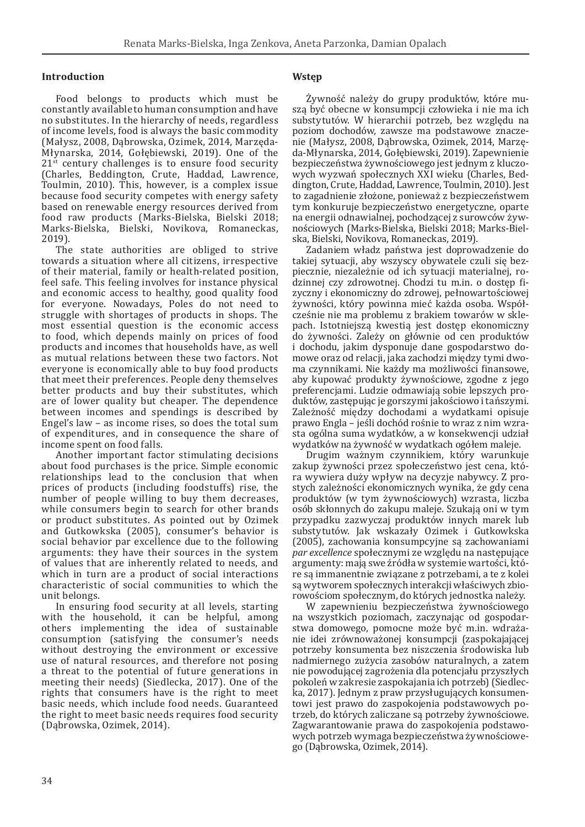### **Introduction**

Food belongs to products which must be constantly available to human consumption and have no substitutes. In the hierarchy of needs, regardless of income levels, food is always the basic commodity (Małysz, 2008, Dąbrowska, Ozimek, 2014, Marzęda-Młynarska, 2014, Gołębiewski, 2019). One of the  $21<sup>st</sup>$  century challenges is to ensure food security (Charles, Beddington, Crute, Haddad, Lawrence, Toulmin, 2010). This, however, is a complex issue because food security competes with energy safety based on renewable energy resources derived from food raw products (Marks-Bielska, Bielski 2018; Marks-Bielska, Bielski, Novikova, Romaneckas, 2019).

The state authorities are obliged to strive towards a situation where all citizens, irrespective of their material, family or health-related position, feel safe. This feeling involves for instance physical and economic access to healthy, good quality food for everyone. Nowadays, Poles do not need to struggle with shortages of products in shops. The most essential question is the economic access to food, which depends mainly on prices of food products and incomes that households have, as well as mutual relations between these two factors. Not everyone is economically able to buy food products that meet their preferences. People deny themselves better products and buy their substitutes, which are of lower quality but cheaper. The dependence between incomes and spendings is described by Engel's law – as income rises, so does the total sum of expenditures, and in consequence the share of income spent on food falls.

Another important factor stimulating decisions about food purchases is the price. Simple economic relationships lead to the conclusion that when prices of products (including foodstuffs) rise, the number of people willing to buy them decreases, while consumers begin to search for other brands or product substitutes. As pointed out by Ozimek and Gutkowkska (2005), consumer's behavior is social behavior par excellence due to the following arguments: they have their sources in the system of values that are inherently related to needs, and which in turn are a product of social interactions characteristic of social communities to which the unit belongs.

In ensuring food security at all levels, starting with the household, it can be helpful, among others implementing the idea of sustainable consumption (satisfying the consumer's needs without destroying the environment or excessive use of natural resources, and therefore not posing a threat to the potential of future generations in meeting their needs) (Siedlecka, 2017). One of the rights that consumers have is the right to meet basic needs, which include food needs. Guaranteed the right to meet basic needs requires food security (Dąbrowska, Ozimek, 2014).

# **Wstęp**

Żywność należy do grupy produktów, które muszą być obecne w konsumpcji człowieka i nie ma ich substytutów. W hierarchii potrzeb, bez względu na poziom dochodów, zawsze ma podstawowe znaczenie (Małysz, 2008, Dąbrowska, Ozimek, 2014, Marzęda-Młynarska, 2014, Gołębiewski, 2019). Zapewnienie bezpieczeństwa żywnościowego jest jednym z kluczowych wyzwań społecznych XXI wieku (Charles, Beddington, Crute, Haddad, Lawrence, Toulmin, 2010). Jest to zagadnienie złożone, ponieważ z bezpieczeństwem tym konkuruje bezpieczeństwo energetyczne, oparte na energii odnawialnej, pochodzącej z surowców żywnościowych (Marks-Bielska, Bielski 2018; Marks-Bielska, Bielski, Novikova, Romaneckas, 2019).

Zadaniem władz państwa jest doprowadzenie do takiej sytuacji, aby wszyscy obywatele czuli się bezpiecznie, niezależnie od ich sytuacji materialnej, rodzinnej czy zdrowotnej. Chodzi tu m.in. o dostęp fizyczny i ekonomiczny do zdrowej, pełnowartościowej żywności, który powinna mieć każda osoba. Współcześnie nie ma problemu z brakiem towarów w sklepach. Istotniejszą kwestią jest dostęp ekonomiczny do żywności. Zależy on głównie od cen produktów i dochodu, jakim dysponuje dane gospodarstwo domowe oraz od relacji, jaka zachodzi między tymi dwoma czynnikami. Nie każdy ma możliwości finansowe, aby kupować produkty żywnościowe, zgodne z jego preferencjami. Ludzie odmawiają sobie lepszych produktów, zastępując je gorszymi jakościowo i tańszymi. Zależność między dochodami a wydatkami opisuje prawo Engla – jeśli dochód rośnie to wraz z nim wzrasta ogólna suma wydatków, a w konsekwencji udział wydatków na żywność w wydatkach ogółem maleje.

Drugim ważnym czynnikiem, który warunkuje zakup żywności przez społeczeństwo jest cena, która wywiera duży wpływ na decyzje nabywcy. Z prostych zależności ekonomicznych wynika, że gdy cena produktów (w tym żywnościowych) wzrasta, liczba osób skłonnych do zakupu maleje. Szukają oni w tym przypadku zazwyczaj produktów innych marek lub substytutów. Jak wskazały Ozimek i Gutkowkska (2005), zachowania konsumpcyjne są zachowaniami *par excellence* społecznymi ze względu na następujące argumenty: mają swe źródła w systemie wartości, które są immanentnie związane z potrzebami, a te z kolei są wytworem społecznych interakcji właściwych zbiorowościom społecznym, do których jednostka należy.

W zapewnieniu bezpieczeństwa żywnościowego na wszystkich poziomach, zaczynając od gospodarstwa domowego, pomocne może być m.in. wdrażanie idei zrównoważonej konsumpcji (zaspokajającej potrzeby konsumenta bez niszczenia środowiska lub nadmiernego zużycia zasobów naturalnych, a zatem nie powodującej zagrożenia dla potencjału przyszłych pokoleń w zakresie zaspokajania ich potrzeb) (Siedlecka, 2017). Jednym z praw przysługujących konsumentowi jest prawo do zaspokojenia podstawowych potrzeb, do których zaliczane są potrzeby żywnościowe. Zagwarantowanie prawa do zaspokojenia podstawowych potrzeb wymaga bezpieczeństwa żywnościowego (Dąbrowska, Ozimek, 2014).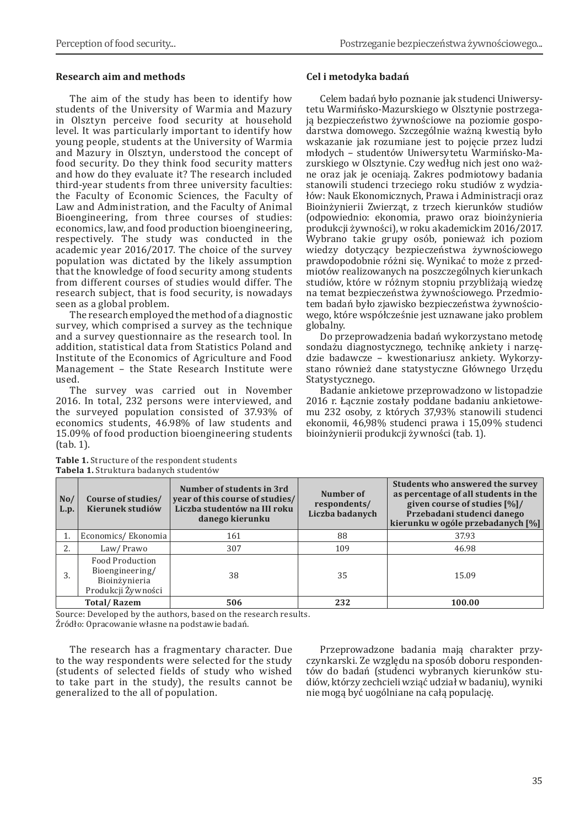# **Research aim and methods**

The aim of the study has been to identify how students of the University of Warmia and Mazury in Olsztyn perceive food security at household level. It was particularly important to identify how young people, students at the University of Warmia and Mazury in Olsztyn, understood the concept of food security. Do they think food security matters and how do they evaluate it? The research included third-year students from three university faculties: the Faculty of Economic Sciences, the Faculty of Law and Administration, and the Faculty of Animal Bioengineering, from three courses of studies: economics, law, and food production bioengineering, respectively. The study was conducted in the academic year 2016/2017. The choice of the survey population was dictated by the likely assumption that the knowledge of food security among students from different courses of studies would differ. The research subject, that is food security, is nowadays seen as a global problem.

The research employed the method of a diagnostic survey, which comprised a survey as the technique and a survey questionnaire as the research tool. In addition, statistical data from Statistics Poland and Institute of the Economics of Agriculture and Food Management – the State Research Institute were used.

The survey was carried out in November 2016. In total, 232 persons were interviewed, and the surveyed population consisted of 37.93% of economics students, 46.98% of law students and 15.09% of food production bioengineering students (tab. 1).

# **Cel i metodyka badań**

Celem badań było poznanie jak studenci Uniwersytetu Warmińsko-Mazurskiego w Olsztynie postrzegają bezpieczeństwo żywnościowe na poziomie gospodarstwa domowego. Szczególnie ważną kwestią było wskazanie jak rozumiane jest to pojęcie przez ludzi młodych – studentów Uniwersytetu Warmińsko-Mazurskiego w Olsztynie. Czy według nich jest ono ważne oraz jak je oceniają. Zakres podmiotowy badania stanowili studenci trzeciego roku studiów z wydziałów: Nauk Ekonomicznych, Prawa i Administracji oraz Bioinżynierii Zwierząt, z trzech kierunków studiów (odpowiednio: ekonomia, prawo oraz bioinżynieria produkcji żywności), w roku akademickim 2016/2017. Wybrano takie grupy osób, ponieważ ich poziom wiedzy dotyczący bezpieczeństwa żywnościowego prawdopodobnie różni się. Wynikać to może z przedmiotów realizowanych na poszczególnych kierunkach studiów, które w różnym stopniu przybliżają wiedzę na temat bezpieczeństwa żywnościowego. Przedmiotem badań było zjawisko bezpieczeństwa żywnościowego, które współcześnie jest uznawane jako problem globalny.

Do przeprowadzenia badań wykorzystano metodę sondażu diagnostycznego, technikę ankiety i narzędzie badawcze – kwestionariusz ankiety. Wykorzystano również dane statystyczne Głównego Urzędu Statystycznego.

Badanie ankietowe przeprowadzono w listopadzie 2016 r. Łącznie zostały poddane badaniu ankietowemu 232 osoby, z których 37,93% stanowili studenci ekonomii, 46,98% studenci prawa i 15,09% studenci bioinżynierii produkcji żywności (tab. 1).

| No/<br>L.p. | Course of studies/<br>Kierunek studiów                                    | Number of students in 3rd<br>year of this course of studies/<br>Liczba studentów na III roku<br>danego kierunku | Number of<br>respondents/<br>Liczba badanych | Students who answered the survey<br>as percentage of all students in the<br>given course of studies [%]/<br>Przebadani studenci danego<br>kierunku w ogóle przebadanych [%] |  |
|-------------|---------------------------------------------------------------------------|-----------------------------------------------------------------------------------------------------------------|----------------------------------------------|-----------------------------------------------------------------------------------------------------------------------------------------------------------------------------|--|
| 1.          | Economics/Ekonomia                                                        | 161                                                                                                             | 88                                           | 37.93                                                                                                                                                                       |  |
| 2.          | Law/Prawo                                                                 | 307                                                                                                             | 109                                          | 46.98                                                                                                                                                                       |  |
| 3.          | Food Production<br>Bioengineering/<br>Bioinżynieria<br>Produkcji Żywności | 38                                                                                                              | 35                                           | 15.09                                                                                                                                                                       |  |
|             | <b>Total/Razem</b>                                                        | 506                                                                                                             | 232                                          | 100.00                                                                                                                                                                      |  |

**Table 1.** Structure of the respondent students **Tabela 1.** Struktura badanych studentów

Source: Developed by the authors, based on the research results.

Źródło: Opracowanie własne na podstawie badań.

The research has a fragmentary character. Due to the way respondents were selected for the study (students of selected fields of study who wished to take part in the study), the results cannot be generalized to the all of population.

Przeprowadzone badania mają charakter przyczynkarski. Ze względu na sposób doboru respondentów do badań (studenci wybranych kierunków studiów, którzy zechcieli wziąć udział w badaniu), wyniki nie mogą być uogólniane na całą populację.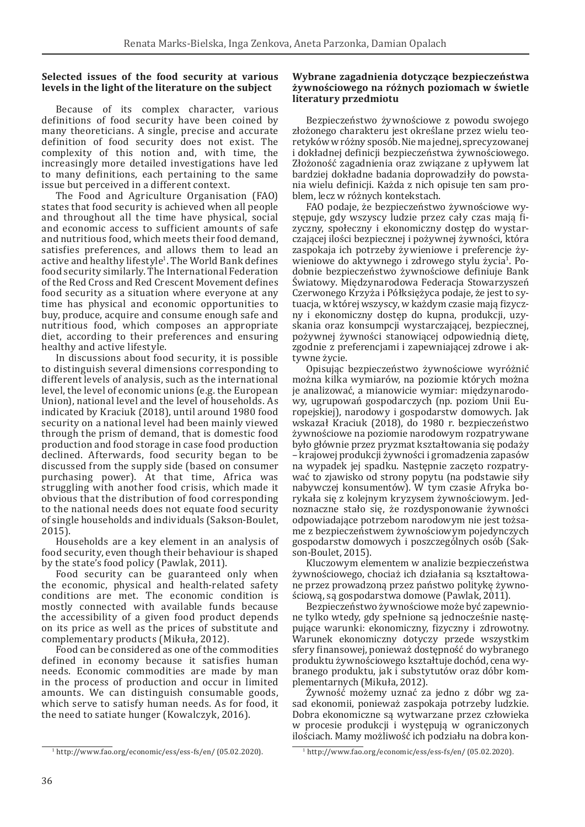# **Selected issues of the food security at various levels in the light of the literature on the subject**

Because of its complex character, various definitions of food security have been coined by many theoreticians. A single, precise and accurate definition of food security does not exist. The complexity of this notion and, with time, the increasingly more detailed investigations have led to many definitions, each pertaining to the same issue but perceived in a different context.

The Food and Agriculture Organisation (FAO) states that food security is achieved when all people and throughout all the time have physical, social and economic access to sufficient amounts of safe and nutritious food, which meets their food demand, satisfies preferences, and allows them to lead an active and healthy lifestyle<sup>1</sup>. The World Bank defines food security similarly. The International Federation of the Red Cross and Red Crescent Movement defines food security as a situation where everyone at any time has physical and economic opportunities to buy, produce, acquire and consume enough safe and nutritious food, which composes an appropriate diet, according to their preferences and ensuring healthy and active lifestyle.

In discussions about food security, it is possible to distinguish several dimensions corresponding to different levels of analysis, such as the international level, the level of economic unions (e.g. the European Union), national level and the level of households. As indicated by Kraciuk (2018), until around 1980 food security on a national level had been mainly viewed through the prism of demand, that is domestic food production and food storage in case food production declined. Afterwards, food security began to be discussed from the supply side (based on consumer purchasing power). At that time, Africa was struggling with another food crisis, which made it obvious that the distribution of food corresponding to the national needs does not equate food security of single households and individuals (Sakson-Boulet, 2015).

Households are a key element in an analysis of food security, even though their behaviour is shaped by the state's food policy (Pawlak, 2011).

Food security can be guaranteed only when the economic, physical and health-related safety conditions are met. The economic condition is mostly connected with available funds because the accessibility of a given food product depends on its price as well as the prices of substitute and complementary products (Mikuła, 2012).

Food can be considered as one of the commodities defined in economy because it satisfies human needs. Economic commodities are made by man in the process of production and occur in limited amounts. We can distinguish consumable goods, which serve to satisfy human needs. As for food, it the need to satiate hunger (Kowalczyk, 2016).

#### **Wybrane zagadnienia dotyczące bezpieczeństwa żywnościowego na różnych poziomach w świetle literatury przedmiotu**

Bezpieczeństwo żywnościowe z powodu swojego złożonego charakteru jest określane przez wielu teoretyków wróżny sposób. Nie ma jednej, sprecyzowanej i dokładnej definicji bezpieczeństwa żywnościowego. Złożoność zagadnienia oraz związane z upływem lat bardziej dokładne badania doprowadziły do powstania wielu definicji. Każda z nich opisuje ten sam problem, lecz w różnych kontekstach.

FAO podaje, że bezpieczeństwo żywnościowe występuje, gdy wszyscy ludzie przez cały czas mają fizyczny, społeczny i ekonomiczny dostęp do wystarczającej ilości bezpiecznej i pożywnej żywności, która zaspokaja ich potrzeby żywieniowe i preferencje żywieniowe do aktywnego i zdrowego stylu życia<sup>i</sup>. Podobnie bezpieczeństwo żywnościowe definiuje Bank Światowy. Międzynarodowa Federacja Stowarzyszeń Czerwonego Krzyża i Półksiężyca podaje, że jest to sytuacja, w której wszyscy, w każdym czasie mają fizyczny i ekonomiczny dostęp do kupna, produkcji, uzyskania oraz konsumpcji wystarczającej, bezpiecznej, pożywnej żywności stanowiącej odpowiednią dietę, zgodnie z preferencjami i zapewniającej zdrowe i aktywne życie.

Opisując bezpieczeństwo żywnościowe wyróżnić można kilka wymiarów, na poziomie których można je analizować, a mianowicie wymiar: międzynarodowy, ugrupowań gospodarczych (np. poziom Unii Europejskiej), narodowy i gospodarstw domowych. Jak wskazał Kraciuk (2018), do 1980 r. bezpieczeństwo żywnościowe na poziomie narodowym rozpatrywane było głównie przez pryzmat kształtowania się podaży – krajowej produkcji żywności i gromadzenia zapasów na wypadek jej spadku. Następnie zaczęto rozpatrywać to zjawisko od strony popytu (na podstawie siły nabywczej konsumentów). W tym czasie Afryka borykała się z kolejnym kryzysem żywnościowym. Jednoznaczne stało się, że rozdysponowanie żywności odpowiadające potrzebom narodowym nie jest tożsame z bezpieczeństwem żywnościowym pojedynczych gospodarstw domowych i poszczególnych osób (Sakson-Boulet, 2015).

Kluczowym elementem w analizie bezpieczeństwa żywnościowego, chociaż ich działania są kształtowane przez prowadzoną przez państwo politykę żywnościową, są gospodarstwa domowe (Pawlak, 2011).

Bezpieczeństwo żywnościowe może być zapewnione tylko wtedy, gdy spełnione są jednocześnie następujące warunki: ekonomiczny, fizyczny i zdrowotny. Warunek ekonomiczny dotyczy przede wszystkim sfery finansowej, ponieważ dostępność do wybranego produktu żywnościowego kształtuje dochód, cena wybranego produktu, jak i substytutów oraz dóbr komplementarnych (Mikuła, 2012).

Żywność możemy uznać za jedno z dóbr wg zasad ekonomii, ponieważ zaspokaja potrzeby ludzkie. Dobra ekonomiczne są wytwarzane przez człowieka w procesie produkcji i występują w ograniczonych ilościach. Mamy możliwość ich podziału na dobra kon-

<sup>1</sup> http://www.fao.org/economic/ess/ess-fs/en/ (05.02.2020).

<sup>1</sup> http://www.fao.org/economic/ess/ess-fs/en/ (05.02.2020).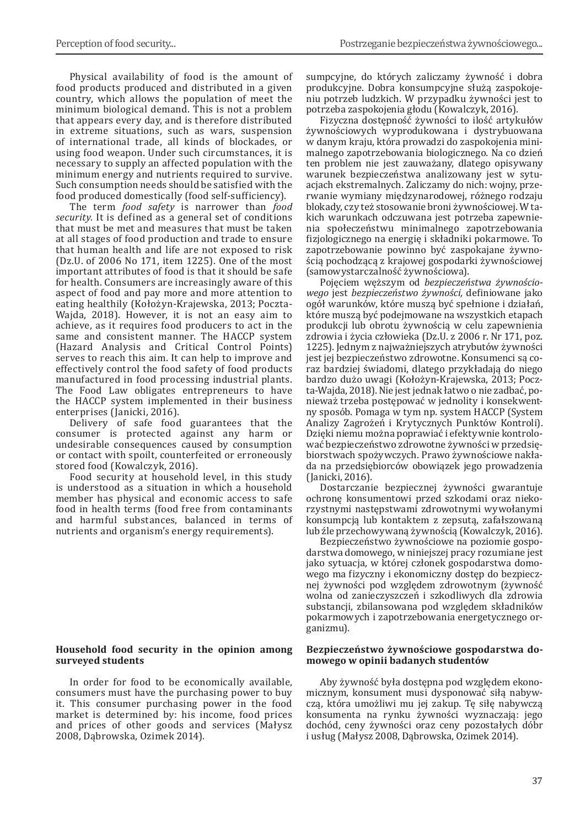Physical availability of food is the amount of food products produced and distributed in a given country, which allows the population of meet the minimum biological demand. This is not a problem that appears every day, and is therefore distributed in extreme situations, such as wars, suspension of international trade, all kinds of blockades, or using food weapon. Under such circumstances, it is necessary to supply an affected population with the minimum energy and nutrients required to survive. Such consumption needs should be satisfied with the food produced domestically (food self-sufficiency).

The term *food safety* is narrower than *food security*. It is defined as a general set of conditions that must be met and measures that must be taken at all stages of food production and trade to ensure that human health and life are not exposed to risk (Dz.U. of 2006 No 171, item 1225). One of the most important attributes of food is that it should be safe for health. Consumers are increasingly aware of this aspect of food and pay more and more attention to eating healthily (Kołożyn-Krajewska, 2013; Poczta-Wajda, 2018). However, it is not an easy aim to achieve, as it requires food producers to act in the same and consistent manner. The HACCP system (Hazard Analysis and Critical Control Points) serves to reach this aim. It can help to improve and effectively control the food safety of food products manufactured in food processing industrial plants. The Food Law obligates entrepreneurs to have the HACCP system implemented in their business enterprises (Janicki, 2016).

Delivery of safe food guarantees that the consumer is protected against any harm or undesirable consequences caused by consumption or contact with spoilt, counterfeited or erroneously stored food (Kowalczyk, 2016).

Food security at household level, in this study is understood as a situation in which a household member has physical and economic access to safe food in health terms (food free from contaminants and harmful substances, balanced in terms of nutrients and organism's energy requirements).

### **Household food security in the opinion among surveyed students**

In order for food to be economically available, consumers must have the purchasing power to buy it. This consumer purchasing power in the food market is determined by: his income, food prices and prices of other goods and services (Małysz 2008, Dąbrowska, Ozimek 2014).

sumpcyjne, do których zaliczamy żywność i dobra produkcyjne. Dobra konsumpcyjne służą zaspokojeniu potrzeb ludzkich. W przypadku żywności jest to potrzeba zaspokojenia głodu (Kowalczyk, 2016).

Fizyczna dostępność żywności to ilość artykułów żywnościowych wyprodukowana i dystrybuowana w danym kraju, która prowadzi do zaspokojenia minimalnego zapotrzebowania biologicznego. Na co dzień ten problem nie jest zauważany, dlatego opisywany warunek bezpieczeństwa analizowany jest w sytuacjach ekstremalnych. Zaliczamy do nich: wojny, przerwanie wymiany międzynarodowej, różnego rodzaju blokady, czy też stosowanie broni żywnościowej. W takich warunkach odczuwana jest potrzeba zapewnienia społeczeństwu minimalnego zapotrzebowania fizjologicznego na energię i składniki pokarmowe. To zapotrzebowanie powinno być zaspokajane żywnością pochodzącą z krajowej gospodarki żywnościowej (samowystarczalność żywnościowa).

Pojęciem węższym od *bezpieczeństwa żywnościowego* jest *bezpieczeństwo żywności,* definiowane jako ogół warunków, które muszą być spełnione i działań, które muszą być podejmowane na wszystkich etapach produkcji lub obrotu żywnością w celu zapewnienia zdrowia i życia człowieka (Dz.U. z 2006 r. Nr 171, poz. 1225). Jednym z najważniejszych atrybutów żywności jest jej bezpieczeństwo zdrowotne. Konsumenci są coraz bardziej świadomi, dlatego przykładają do niego bardzo dużo uwagi (Kołożyn-Krajewska, 2013; Poczta-Wajda, 2018). Nie jest jednak łatwo o nie zadbać, ponieważ trzeba postępować w jednolity i konsekwentny sposób. Pomaga w tym np. system HACCP (System Analizy Zagrożeń i Krytycznych Punktów Kontroli). Dzięki niemu można poprawiać i efektywnie kontrolować bezpieczeństwo zdrowotne żywności w przedsiębiorstwach spożywczych. Prawo żywnościowe nakłada na przedsiębiorców obowiązek jego prowadzenia (Janicki, 2016).

Dostarczanie bezpiecznej żywności gwarantuje ochronę konsumentowi przed szkodami oraz niekorzystnymi następstwami zdrowotnymi wywołanymi konsumpcją lub kontaktem z zepsutą, zafałszowaną lub źle przechowywaną żywnością (Kowalczyk, 2016).

Bezpieczeństwo żywnościowe na poziomie gospodarstwa domowego, w niniejszej pracy rozumiane jest jako sytuacja, w której członek gospodarstwa domowego ma fizyczny i ekonomiczny dostęp do bezpiecznej żywności pod względem zdrowotnym (żywność wolna od zanieczyszczeń i szkodliwych dla zdrowia substancji, zbilansowana pod względem składników pokarmowych i zapotrzebowania energetycznego organizmu).

#### **Bezpieczeństwo żywnościowe gospodarstwa domowego w opinii badanych studentów**

Aby żywność była dostępna pod względem ekonomicznym, konsument musi dysponować siłą nabywczą, która umożliwi mu jej zakup. Tę siłę nabywczą konsumenta na rynku żywności wyznaczają: jego dochód, ceny żywności oraz ceny pozostałych dóbr i usług (Małysz 2008, Dąbrowska, Ozimek 2014).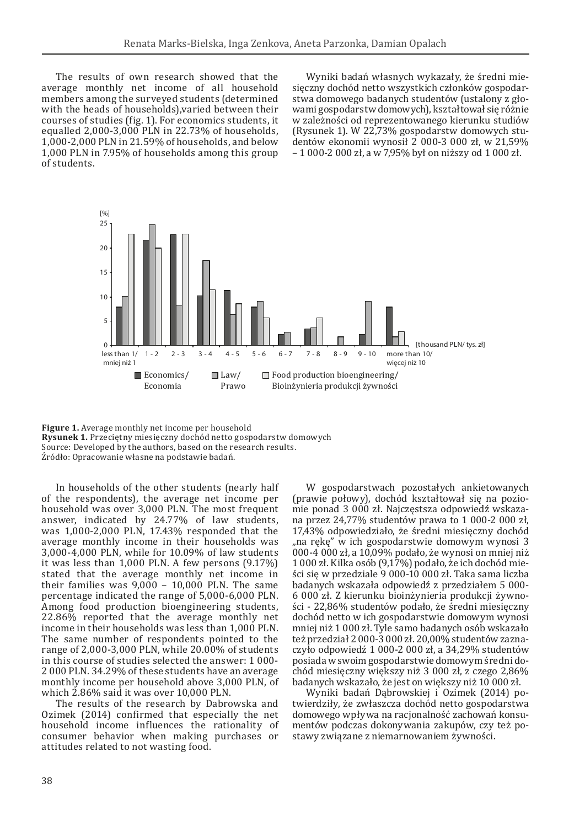The results of own research showed that the average monthly net income of all household members among the surveyed students (determined with the heads of households),varied between their courses of studies (fig. 1). For economics students, it equalled 2,000-3,000 PLN in 22.73% of households, 1,000-2,000 PLN in 21.59% of households, and below 1,000 PLN in 7.95% of households among this group of students.

Wyniki badań własnych wykazały, że średni miesięczny dochód netto wszystkich członków gospodarstwa domowego badanych studentów (ustalony z głowami gospodarstw domowych), kształtował się różnie w zależności od reprezentowanego kierunku studiów (Rysunek 1). W 22,73% gospodarstw domowych studentów ekonomii wynosił 2 000-3 000 zł, w 21,59% – 1 000-2 000 zł, a w 7,95% był on niższy od 1 000 zł.



**Figure 1.** Average monthly net income per household **Rysunek 1.** Przeciętny miesięczny dochód netto gospodarstw domowych Source: Developed by the authors, based on the research results. Źródło: Opracowanie własne na podstawie badań.

In households of the other students (nearly half of the respondents), the average net income per household was over 3,000 PLN. The most frequent answer, indicated by 24.77% of law students, was 1,000-2,000 PLN, 17.43% responded that the average monthly income in their households was 3,000-4,000 PLN, while for 10.09% of law students it was less than 1,000 PLN. A few persons (9.17%) stated that the average monthly net income in their families was 9,000 – 10,000 PLN. The same percentage indicated the range of 5,000-6,000 PLN. Among food production bioengineering students, 22.86% reported that the average monthly net income in their households was less than 1,000 PLN. The same number of respondents pointed to the range of 2,000-3,000 PLN, while 20.00% of students in this course of studies selected the answer: 1 000- 2 000 PLN. 34.29% of these students have an average monthly income per household above 3,000 PLN, of which 2.86% said it was over 10,000 PLN.

The results of the research by Dabrowska and Ozimek (2014) confirmed that especially the net household income influences the rationality of consumer behavior when making purchases or attitudes related to not wasting food.

W gospodarstwach pozostałych ankietowanych (prawie połowy), dochód kształtował się na poziomie ponad 3 000 zł. Najczęstsza odpowiedź wskazana przez 24,77% studentów prawa to 1 000-2 000 zł, 17,43% odpowiedziało, że średni miesięczny dochód "na rękę" w ich gospodarstwie domowym wynosi 3 000-4 000 zł, a 10,09% podało, że wynosi on mniej niż 1 000 zł. Kilka osób (9,17%) podało, że ich dochód mieści się w przedziale 9 000-10 000 zł. Taka sama liczba badanych wskazała odpowiedź z przedziałem 5 000- 6 000 zł. Z kierunku bioinżynieria produkcji żywności - 22,86% studentów podało, że średni miesięczny dochód netto w ich gospodarstwie domowym wynosi mniej niż 1 000 zł. Tyle samo badanych osób wskazało też przedział 2 000-3 000 zł. 20,00% studentów zaznaczyło odpowiedź 1 000-2 000 zł, a 34,29% studentów posiada w swoim gospodarstwie domowym średni dochód miesięczny większy niż 3 000 zł, z czego 2,86% badanych wskazało, że jest on większy niż 10 000 zł.

Wyniki badań Dąbrowskiej i Ozimek (2014) potwierdziły, że zwłaszcza dochód netto gospodarstwa domowego wpływa na racjonalność zachowań konsumentów podczas dokonywania zakupów, czy też postawy związane z niemarnowaniem żywności.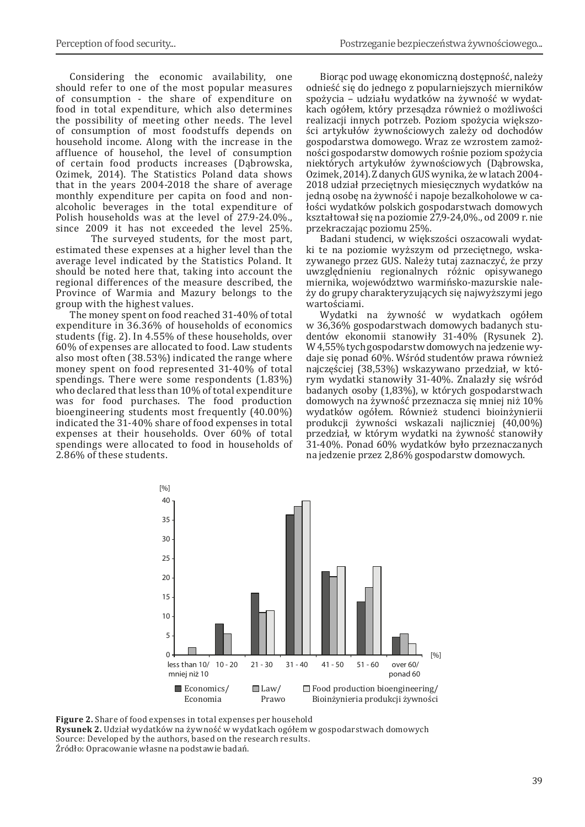Considering the economic availability, one should refer to one of the most popular measures of consumption - the share of expenditure on food in total expenditure, which also determines the possibility of meeting other needs. The level of consumption of most foodstuffs depends on household income. Along with the increase in the affluence of househol, the level of consumption of certain food products increases (Dąbrowska, Ozimek, 2014). The Statistics Poland data shows that in the years 2004-2018 the share of average monthly expenditure per capita on food and nonalcoholic beverages in the total expenditure of Polish households was at the level of 27.9-24.0%., since 2009 it has not exceeded the level 25%.

The surveyed students, for the most part, estimated these expenses at a higher level than the average level indicated by the Statistics Poland. It should be noted here that, taking into account the regional differences of the measure described, the Province of Warmia and Mazury belongs to the group with the highest values.

The money spent on food reached 31-40% of total expenditure in 36.36% of households of economics students (fig. 2). In 4.55% of these households, over 60% of expenses are allocated to food. Law students also most often (38.53%) indicated the range where money spent on food represented 31-40% of total spendings. There were some respondents (1.83%) who declared that less than 10% of total expenditure was for food purchases. The food production bioengineering students most frequently (40.00%) indicated the 31-40% share of food expenses in total expenses at their households. Over 60% of total spendings were allocated to food in households of 2.86% of these students.

Biorąc pod uwagę ekonomiczną dostępność, należy odnieść się do jednego z popularniejszych mierników spożycia – udziału wydatków na żywność w wydatkach ogółem, który przesądza również o możliwości realizacji innych potrzeb. Poziom spożycia większości artykułów żywnościowych zależy od dochodów gospodarstwa domowego. Wraz ze wzrostem zamożności gospodarstw domowych rośnie poziom spożycia niektórych artykułów żywnościowych (Dąbrowska, Ozimek, 2014). Zdanych GUS wynika, że wlatach 2004- 2018 udział przeciętnych miesięcznych wydatków na jedną osobę na żywność i napoje bezalkoholowe w całości wydatków polskich gospodarstwach domowych kształtował się na poziomie 27,9-24,0%., od 2009 r. nie przekraczając poziomu 25%.

Badani studenci, w większości oszacowali wydatki te na poziomie wyższym od przeciętnego, wskazywanego przez GUS. Należy tutaj zaznaczyć, że przy uwzględnieniu regionalnych różnic opisywanego miernika, województwo warmińsko-mazurskie należy do grupy charakteryzujących się najwyższymi jego wartościami.

Wydatki na żywność w wydatkach ogółem w 36,36% gospodarstwach domowych badanych studentów ekonomii stanowiły 31-40% (Rysunek 2). W4,55% tych gospodarstw domowych na jedzenie wydaje się ponad 60%. Wśród studentów prawa również najczęściej (38,53%) wskazywano przedział, w którym wydatki stanowiły 31-40%. Znalazły się wśród badanych osoby (1,83%), w których gospodarstwach domowych na żywność przeznacza się mniej niż 10% wydatków ogółem. Również studenci bioinżynierii produkcji żywności wskazali najliczniej (40,00%) przedział, w którym wydatki na żywność stanowiły 31-40%. Ponad 60% wydatków było przeznaczanych na jedzenie przez 2,86% gospodarstw domowych.



**Figure 2.** Share of food expenses in total expenses per household

**Rysunek 2.** Udział wydatków na żywność w wydatkach ogółem w gospodarstwach domowych Source: Developed by the authors, based on the research results. Źródło: Opracowanie własne na podstawie badań.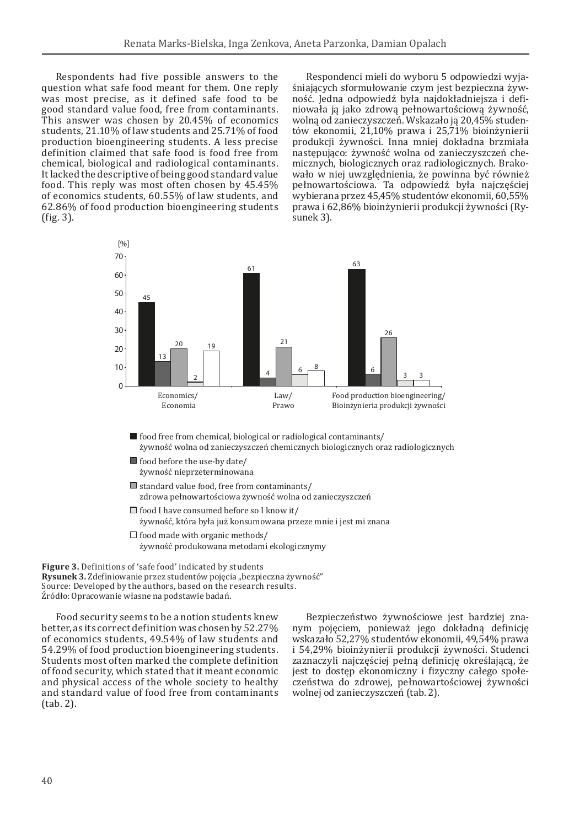Respondents had five possible answers to the question what safe food meant for them. One reply was most precise, as it defined safe food to be good standard value food, free from contaminants. This answer was chosen by 20.45% of economics students, 21.10% of law students and 25.71% of food production bioengineering students. A less precise definition claimed that safe food is food free from chemical, biological and radiological contaminants. It lacked the descriptive of being good standard value food. This reply was most often chosen by 45.45% of economics students, 60.55% of law students, and 62.86% of food production bioengineering students (fig. 3).

Respondenci mieli do wyboru 5 odpowiedzi wyjaśniających sformułowanie czym jest bezpieczna żywność. Jedna odpowiedź była najdokładniejsza i definiowała ją jako zdrową pełnowartościową żywność, wolną od zanieczyszczeń. Wskazało ją 20,45% studentów ekonomii, 21,10% prawa i 25,71% bioinżynierii produkcji żywności. Inna mniej dokładna brzmiała następująco: żywność wolna od zanieczyszczeń chemicznych, biologicznych oraz radiologicznych. Brakowało w niej uwzględnienia, że powinna być również pełnowartościowa. Ta odpowiedź była najczęściej wybierana przez 45,45% studentów ekonomii, 60,55% prawa i 62,86% bioinżynierii produkcji żywności (Rysunek 3).



- food free from chemical, biological or radiological contaminants/ żywność wolna od zanieczyszczeń chemicznych biologicznych oraz radiologicznych
- $\blacksquare$  food before the use-by date/ żywność nieprzeterminowana
- $\blacksquare$  standard value food, free from contaminants/ zdrowa pełnowartościowa żywność wolna od zanieczyszczeń
- $\Box$  food I have consumed before so I know it/ żywność, która była już konsumowana przeze mnie i jest mi znana
- $\Box$  food made with organic methods/ żywność produkowana metodami ekologicznymy

**Figure 3.** Definitions of 'safe food' indicated by students **Rysunek 3.** Zdefiniowanie przez studentów pojęcia "bezpieczna żywność" Source: Developed by the authors, based on the research results. Źródło: Opracowanie własne na podstawie badań.

Food security seems to be a notion students knew better, as its correct definition was chosen by 52.27% of economics students, 49.54% of law students and 54.29% of food production bioengineering students. Students most often marked the complete definition of food security, which stated that it meant economic and physical access of the whole society to healthy and standard value of food free from contaminants (tab. 2).

Bezpieczeństwo żywnościowe jest bardziej znanym pojęciem, ponieważ jego dokładną definicję wskazało 52,27% studentów ekonomii, 49,54% prawa i 54,29% bioinżynierii produkcji żywności. Studenci zaznaczyli najczęściej pełną definicję określającą, że jest to dostęp ekonomiczny i fizyczny całego społeczeństwa do zdrowej, pełnowartościowej żywności wolnej od zanieczyszczeń (tab. 2).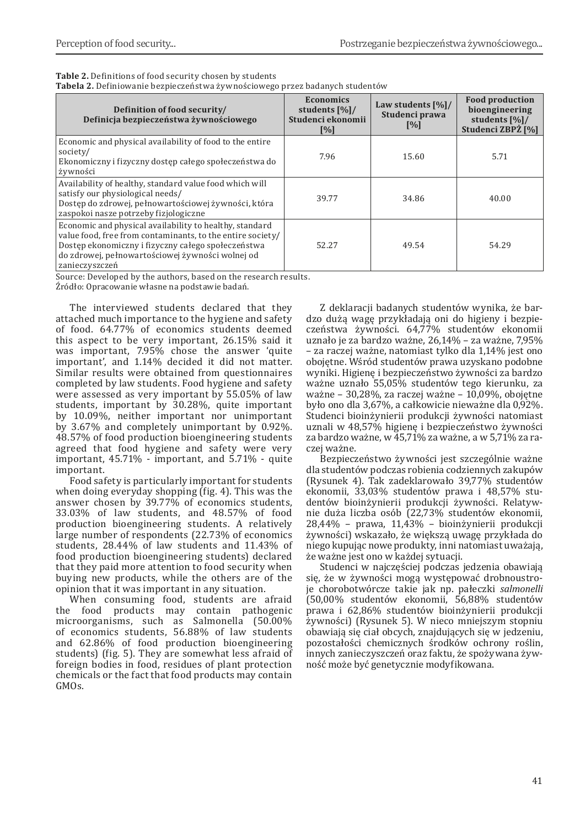| <b>Table 2.</b> Definitions of food security chosen by students              |  |
|------------------------------------------------------------------------------|--|
| Tabela 2. Definiowanie bezpieczeństwa żywnościowego przez badanych studentów |  |

| Definition of food security/<br>Definicja bezpieczeństwa żywnościowego                                                                                                                                                                            | <b>Economics</b><br>students [%]/<br>Studenci ekonomii<br>[%] | Law students $[\%]/$<br>Studenci prawa<br>$\frac{9}{6}$ | <b>Food production</b><br>bioengineering<br>students [%]/<br>Studenci ZBPŻ [%] |
|---------------------------------------------------------------------------------------------------------------------------------------------------------------------------------------------------------------------------------------------------|---------------------------------------------------------------|---------------------------------------------------------|--------------------------------------------------------------------------------|
| Economic and physical availability of food to the entire<br>society/<br>Ekonomiczny i fizyczny dostęp całego społeczeństwa do<br>żywności                                                                                                         | 7.96                                                          | 15.60                                                   | 5.71                                                                           |
| Availability of healthy, standard value food which will<br>satisfy our physiological needs/<br>Dostęp do zdrowej, pełnowartościowej żywności, która<br>zaspokoi nasze potrzeby fizjologiczne                                                      | 39.77                                                         | 34.86                                                   | 40.00                                                                          |
| Economic and physical availability to healthy, standard<br>value food, free from contaminants, to the entire society/<br>Dostęp ekonomiczny i fizyczny całego społeczeństwa<br>do zdrowej, pełnowartościowej żywności wolnej od<br>zanieczyszczeń | 52.27                                                         | 49.54                                                   | 54.29                                                                          |

Source: Developed by the authors, based on the research results.

Źródło: Opracowanie własne na podstawie badań.

The interviewed students declared that they attached much importance to the hygiene and safety of food. 64.77% of economics students deemed this aspect to be very important, 26.15% said it was important, 7.95% chose the answer 'quite important', and 1.14% decided it did not matter. Similar results were obtained from questionnaires completed by law students. Food hygiene and safety were assessed as very important by 55.05% of law students, important by 30.28%, quite important by 10.09%, neither important nor unimportant by 3.67% and completely unimportant by 0.92%. 48.57% of food production bioengineering students agreed that food hygiene and safety were very important, 45.71% - important, and 5.71% - quite important.

Food safety is particularly important for students when doing everyday shopping (fig. 4). This was the answer chosen by 39.77% of economics students, 33.03% of law students, and 48.57% of food production bioengineering students. A relatively large number of respondents (22.73% of economics students, 28.44% of law students and 11.43% of food production bioengineering students) declared that they paid more attention to food security when buying new products, while the others are of the opinion that it was important in any situation.

When consuming food, students are afraid<br>food products may contain pathogenic the food products  $\text{may}$ microorganisms, such as Salmonella (50.00% of economics students, 56.88% of law students and 62.86% of food production bioengineering students) (fig. 5). They are somewhat less afraid of foreign bodies in food, residues of plant protection chemicals or the fact that food products may contain GMOs.

Z deklaracji badanych studentów wynika, że bardzo dużą wagę przykładają oni do higieny i bezpieczeństwa żywności. 64,77% studentów ekonomii uznało je za bardzo ważne, 26,14% – za ważne, 7,95% – za raczej ważne, natomiast tylko dla 1,14% jest ono obojętne. Wśród studentów prawa uzyskano podobne wyniki. Higienę i bezpieczeństwo żywności za bardzo ważne uznało 55,05% studentów tego kierunku, za ważne – 30,28%, za raczej ważne – 10,09%, obojętne było ono dla 3,67%, a całkowicie nieważne dla 0,92%. Studenci bioinżynierii produkcji żywności natomiast uznali w 48,57% higienę i bezpieczeństwo żywności za bardzo ważne, w 45,71% za ważne, a w 5,71% za raczej ważne.

Bezpieczeństwo żywności jest szczególnie ważne dla studentów podczas robienia codziennych zakupów (Rysunek 4). Tak zadeklarowało 39,77% studentów ekonomii, 33,03% studentów prawa i 48,57% studentów bioinżynierii produkcji żywności. Relatywnie duża liczba osób (22,73% studentów ekonomii, 28,44% – prawa, 11,43% – bioinżynierii produkcji żywności) wskazało, że większą uwagę przykłada do niego kupując nowe produkty, inni natomiast uważają, że ważne jest ono w każdej sytuacji.

Studenci w najczęściej podczas jedzenia obawiają się, że w żywności mogą występować drobnoustroje chorobotwórcze takie jak np. pałeczki *salmonelli* (50,00% studentów ekonomii, 56,88% studentów prawa i 62,86% studentów bioinżynierii produkcji żywności) (Rysunek 5). W nieco mniejszym stopniu obawiają się ciał obcych, znajdujących się w jedzeniu, pozostałości chemicznych środków ochrony roślin, innych zanieczyszczeń oraz faktu, że spożywana żywność może być genetycznie modyfikowana.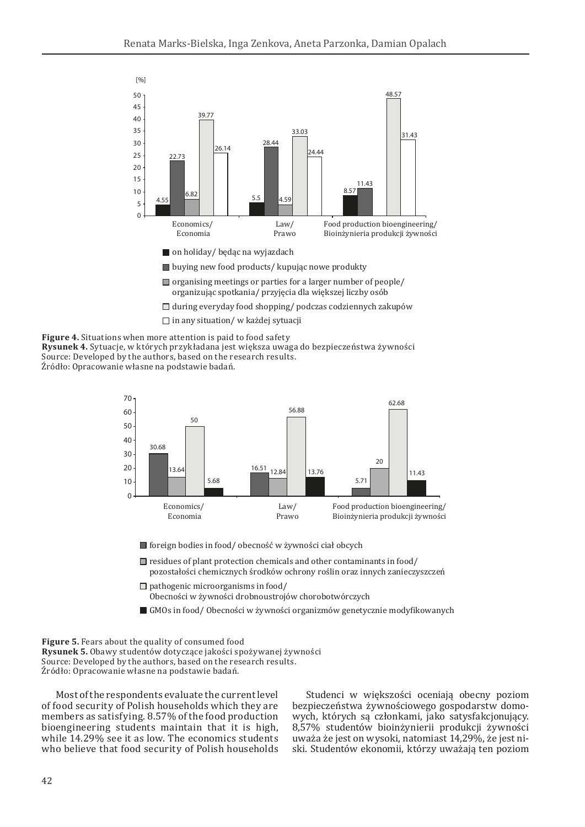

- $\Box$  organising meetings or parties for a larger number of people/ organizując spotkania/ przyjęcia dla większej liczby osób
- $\Box$  during everyday food shopping/ podczas codziennych zakupów
	- $\Box$  in any situation/ w każdej sytuacji





■ foreign bodies in food/ obecność w żywności ciał obcych

- $\Box$  residues of plant protection chemicals and other contaminants in food/ pozostałości chemicznych środków ochrony roślin oraz innych zanieczyszczeń
- $\Box$  pathogenic microorganisms in food/ Obecności w żywności drobnoustrojów chorobotwórczych
- GMOs in food/ Obecności w żywności organizmów genetycznie modyfikowanych

**Figure 5.** Fears about the quality of consumed food **Rysunek 5.** Obawy studentów dotyczące jakości spożywanej żywności Source: Developed by the authors, based on the research results. Źródło: Opracowanie własne na podstawie badań.

Most of the respondents evaluate the current level of food security of Polish households which they are members as satisfying. 8.57% of the food production bioengineering students maintain that it is high, while 14.29% see it as low. The economics students who believe that food security of Polish households

Studenci w większości oceniają obecny poziom bezpieczeństwa żywnościowego gospodarstw domowych, których są członkami, jako satysfakcjonujący. 8,57% studentów bioinżynierii produkcji żywności uważa że jest on wysoki, natomiast 14,29%, że jest niski. Studentów ekonomii, którzy uważają ten poziom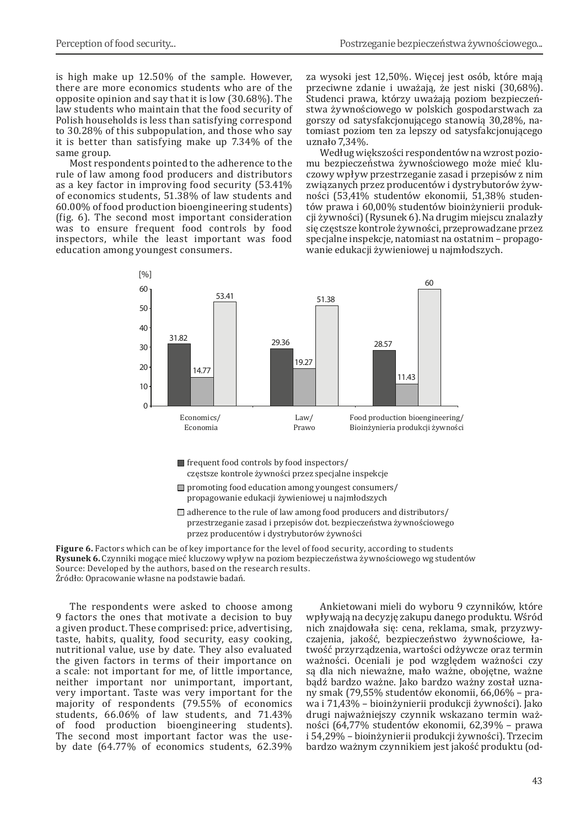is high make up 12.50% of the sample. However, there are more economics students who are of the opposite opinion and say that it is low (30.68%). The law students who maintain that the food security of Polish households is less than satisfying correspond to 30.28% of this subpopulation, and those who say it is better than satisfying make up 7.34% of the same group.

Most respondents pointed to the adherence to the rule of law among food producers and distributors as a key factor in improving food security (53.41% of economics students, 51.38% of law students and 60.00% of food production bioengineering students) (fig. 6). The second most important consideration was to ensure frequent food controls by food inspectors, while the least important was food education among youngest consumers.

za wysoki jest 12,50%. Więcej jest osób, które mają przeciwne zdanie i uważają, że jest niski (30,68%). Studenci prawa, którzy uważają poziom bezpieczeństwa żywnościowego w polskich gospodarstwach za gorszy od satysfakcjonującego stanowią 30,28%, natomiast poziom ten za lepszy od satysfakcjonującego uznało 7,34%.

Według większości respondentów na wzrost poziomu bezpieczeństwa żywnościowego może mieć kluczowy wpływ przestrzeganie zasad i przepisów z nim związanych przez producentów i dystrybutorów żywności (53,41% studentów ekonomii, 51,38% studentów prawa i 60,00% studentów bioinżynierii produkcji żywności) (Rysunek 6). Na drugim miejscu znalazły się częstsze kontrole żywności, przeprowadzane przez specjalne inspekcje, natomiast na ostatnim – propagowanie edukacji żywieniowej u najmłodszych.



- frequent food controls by food inspectors/ częstsze kontrole żywności przez specjalne inspekcje
- $\Box$  promoting food education among youngest consumers/ propagowanie edukacji żywieniowej u najmłodszych
- $\Box$  adherence to the rule of law among food producers and distributors/ przestrzeganie zasad i przepisów dot. bezpieczeństwa żywnościowego przez producentów i dystrybutorów żywności

**Figure 6.** Factors which can be of key importance for the level of food security, according to students **Rysunek 6.** Czynniki mogące mieć kluczowy wpływ na poziom bezpieczeństwa żywnościowego wg studentów Source: Developed by the authors, based on the research results. Źródło: Opracowanie własne na podstawie badań.

The respondents were asked to choose among 9 factors the ones that motivate a decision to buy a given product. These comprised: price, advertising, taste, habits, quality, food security, easy cooking, nutritional value, use by date. They also evaluated the given factors in terms of their importance on a scale: not important for me, of little importance, neither important nor unimportant, important, very important. Taste was very important for the majority of respondents (79.55% of economics students, 66.06% of law students, and 71.43% of food production bioengineering students). The second most important factor was the useby date (64.77% of economics students, 62.39%

Ankietowani mieli do wyboru 9 czynników, które wpływają na decyzję zakupu danego produktu. Wśród nich znajdowała się: cena, reklama, smak, przyzwyczajenia, jakość, bezpieczeństwo żywnościowe, łatwość przyrządzenia, wartości odżywcze oraz termin ważności. Oceniali je pod względem ważności czy są dla nich nieważne, mało ważne, obojętne, ważne bądź bardzo ważne. Jako bardzo ważny został uznany smak (79,55% studentów ekonomii, 66,06% – prawa i 71,43% – bioinżynierii produkcji żywności). Jako drugi najważniejszy czynnik wskazano termin ważności (64,77% studentów ekonomii, 62,39% – prawa i 54,29% – bioinżynierii produkcji żywności). Trzecim bardzo ważnym czynnikiem jest jakość produktu (od-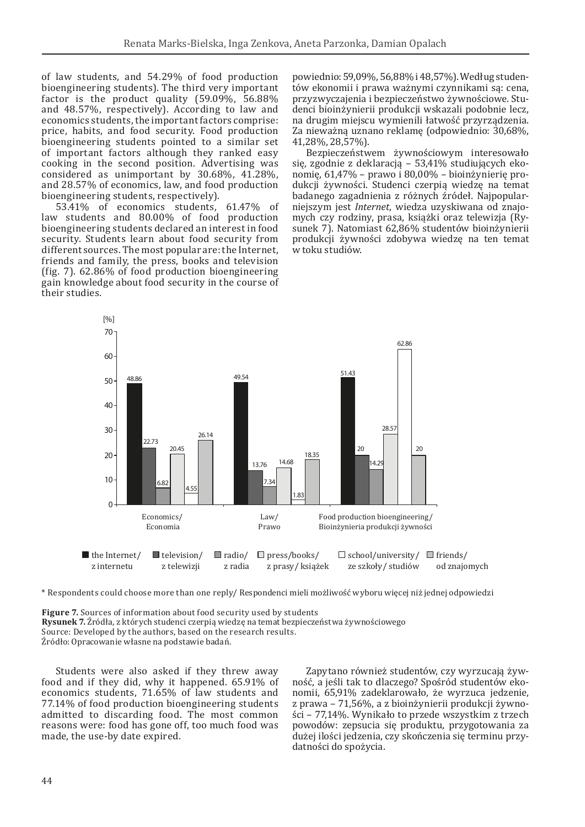of law students, and 54.29% of food production bioengineering students). The third very important factor is the product quality (59.09%, 56.88% and 48.57%, respectively). According to law and economics students, the important factors comprise: price, habits, and food security. Food production bioengineering students pointed to a similar set of important factors although they ranked easy cooking in the second position. Advertising was considered as unimportant by 30.68%, 41.28%, and 28.57% of economics, law, and food production bioengineering students, respectively).

53.41% of economics students, 61.47% of law students and 80.00% of food production bioengineering students declared an interest in food security. Students learn about food security from different sources. The most popular are: the Internet, friends and family, the press, books and television (fig. 7). 62.86% of food production bioengineering gain knowledge about food security in the course of their studies.

powiednio: 59,09%, 56,88% i48,57%). Według studentów ekonomii i prawa ważnymi czynnikami są: cena, przyzwyczajenia i bezpieczeństwo żywnościowe. Studenci bioinżynierii produkcji wskazali podobnie lecz, na drugim miejscu wymienili łatwość przyrządzenia. Za nieważną uznano reklamę (odpowiednio: 30,68%, 41,28%, 28,57%).

Bezpieczeństwem żywnościowym interesowało się, zgodnie z deklaracją – 53,41% studiujących ekonomię, 61,47% – prawo i 80,00% – bioinżynierię produkcji żywności. Studenci czerpią wiedzę na temat badanego zagadnienia z różnych źródeł. Najpopularniejszym jest *Internet*, wiedza uzyskiwana od znajomych czy rodziny, prasa, książki oraz telewizja (Rysunek 7). Natomiast 62,86% studentów bioinżynierii produkcji żywności zdobywa wiedzę na ten temat w toku studiów.



\* Respondents could choose more than one reply/ Respondenci mieli możliwość wyboru więcej niż jednej odpowiedzi

**Figure 7.** Sources of information about food security used by students **Rysunek 7.** Źródła, z których studenci czerpią wiedzę na temat bezpieczeństwa żywnościowego Source: Developed by the authors, based on the research results. Źródło: Opracowanie własne na podstawie badań.

Students were also asked if they threw away food and if they did, why it happened. 65.91% of economics students, 71.65% of law students and 77.14% of food production bioengineering students admitted to discarding food. The most common reasons were: food has gone off, too much food was made, the use-by date expired.

Zapytano również studentów, czy wyrzucają żywność, a jeśli tak to dlaczego? Spośród studentów ekonomii, 65,91% zadeklarowało, że wyrzuca jedzenie, z prawa – 71,56%, a z bioinżynierii produkcji żywności – 77,14%. Wynikało to przede wszystkim z trzech powodów: zepsucia się produktu, przygotowania za dużej ilości jedzenia, czy skończenia się terminu przydatności do spożycia.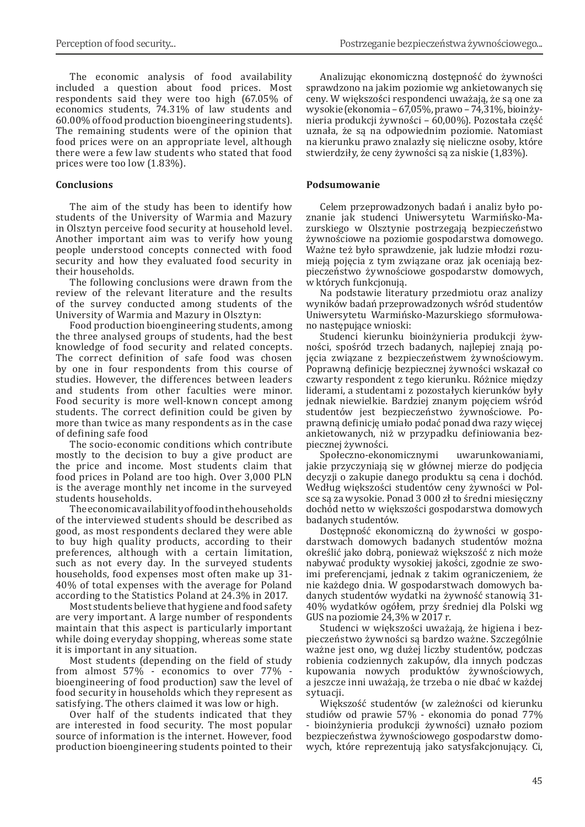The economic analysis of food availability included a question about food prices. Most respondents said they were too high (67.05% of economics students, 74.31% of law students and 60.00% of food production bioengineering students). The remaining students were of the opinion that food prices were on an appropriate level, although there were a few law students who stated that food prices were too low (1.83%).

### **Conclusions**

The aim of the study has been to identify how students of the University of Warmia and Mazury in Olsztyn perceive food security at household level. Another important aim was to verify how young people understood concepts connected with food security and how they evaluated food security in their households.

The following conclusions were drawn from the review of the relevant literature and the results of the survey conducted among students of the University of Warmia and Mazury in Olsztyn:

Food production bioengineering students, among the three analysed groups of students, had the best knowledge of food security and related concepts. The correct definition of safe food was chosen by one in four respondents from this course of studies. However, the differences between leaders and students from other faculties were minor. Food security is more well-known concept among students. The correct definition could be given by more than twice as many respondents as in the case of defining safe food

The socio-economic conditions which contribute mostly to the decision to buy a give product are the price and income. Most students claim that food prices in Poland are too high. Over 3,000 PLN is the average monthly net income in the surveyed students households.

The economic availability of food in the households of the interviewed students should be described as good, as most respondents declared they were able to buy high quality products, according to their preferences, although with a certain limitation, such as not every day. In the surveyed students households, food expenses most often make up 31- 40% of total expenses with the average for Poland according to the Statistics Poland at 24.3% in 2017.

Most students believe that hygiene and food safety are very important. A large number of respondents maintain that this aspect is particularly important while doing everyday shopping, whereas some state it is important in any situation.

Most students (depending on the field of study from almost  $57\%$  - economics to over  $77\%$ bioengineering of food production) saw the level of food security in households which they represent as satisfying. The others claimed it was low or high.

Over half of the students indicated that they are interested in food security. The most popular source of information is the internet. However, food production bioengineering students pointed to their

Analizując ekonomiczną dostępność do żywności sprawdzono na jakim poziomie wg ankietowanych się ceny. W większości respondenci uważają, że są one za wysokie (ekonomia – 67,05%, prawo – 74,31%, bioinżynieria produkcji żywności – 60,00%). Pozostała część uznała, że są na odpowiednim poziomie. Natomiast na kierunku prawo znalazły się nieliczne osoby, które stwierdziły, że ceny żywności są za niskie (1,83%).

### **Podsumowanie**

Celem przeprowadzonych badań i analiz było poznanie jak studenci Uniwersytetu Warmińsko-Mazurskiego w Olsztynie postrzegają bezpieczeństwo żywnościowe na poziomie gospodarstwa domowego. Ważne też było sprawdzenie, jak ludzie młodzi rozumieją pojęcia z tym związane oraz jak oceniają bezpieczeństwo żywnościowe gospodarstw domowych, w których funkcjonują.

Na podstawie literatury przedmiotu oraz analizy wyników badań przeprowadzonych wśród studentów Uniwersytetu Warmińsko-Mazurskiego sformułowano następujące wnioski:

Studenci kierunku bioinżynieria produkcji żywności, spośród trzech badanych, najlepiej znają pojęcia związane z bezpieczeństwem żywnościowym. Poprawną definicję bezpiecznej żywności wskazał co czwarty respondent z tego kierunku. Różnice między liderami, a studentami z pozostałych kierunków były jednak niewielkie. Bardziej znanym pojęciem wśród studentów jest bezpieczeństwo żywnościowe. Poprawną definicję umiało podać ponad dwa razy więcej ankietowanych, niż w przypadku definiowania bezpiecznej żywności.

Społeczno-ekonomicznymi uwarunkowaniami, jakie przyczyniają się w głównej mierze do podjęcia decyzji o zakupie danego produktu są cena i dochód. Według większości studentów ceny żywności w Polsce są za wysokie. Ponad 3 000 zł to średni miesięczny dochód netto w większości gospodarstwa domowych badanych studentów.

Dostępność ekonomiczną do żywności w gospodarstwach domowych badanych studentów można określić jako dobrą, ponieważ większość z nich może nabywać produkty wysokiej jakości, zgodnie ze swoimi preferencjami, jednak z takim ograniczeniem, że nie każdego dnia. W gospodarstwach domowych badanych studentów wydatki na żywność stanowią 31- 40% wydatków ogółem, przy średniej dla Polski wg GUS na poziomie 24,3% w 2017 r.

Studenci w większości uważają, że higiena i bezpieczeństwo żywności są bardzo ważne. Szczególnie ważne jest ono, wg dużej liczby studentów, podczas robienia codziennych zakupów, dla innych podczas kupowania nowych produktów żywnościowych, a jeszcze inni uważają, że trzeba o nie dbać w każdej sytuacji.

Większość studentów (w zależności od kierunku studiów od prawie 57% - ekonomia do ponad 77% - bioinżynieria produkcji żywności) uznało poziom bezpieczeństwa żywnościowego gospodarstw domowych, które reprezentują jako satysfakcjonujący. Ci,